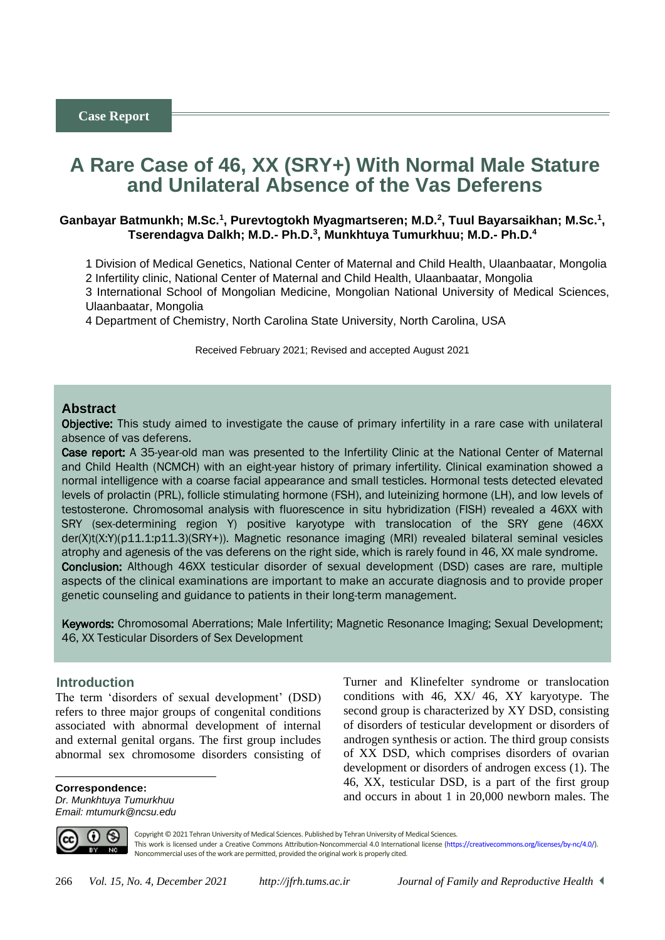# **A Rare Case of 46, XX (SRY+) With Normal Male Stature and Unilateral Absence of the Vas Deferens**

# Ganbayar Batmunkh; M.Sc.<sup>1</sup>, Purevtogtokh Myagmartseren; M.D.<sup>2</sup>, Tuul Bayarsaikhan; M.Sc.<sup>1</sup>, **Tserendagva Dalkh; M.D.- Ph.D.<sup>3</sup> , Munkhtuya Tumurkhuu; M.D.- Ph.D.<sup>4</sup>**

1 Division of Medical Genetics, National Center of Maternal and Child Health, Ulaanbaatar, Mongolia

2 Infertility clinic, National Center of Maternal and Child Health, Ulaanbaatar, Mongolia

3 International School of Mongolian Medicine, Mongolian National University of Medical Sciences, Ulaanbaatar, Mongolia

4 Department of Chemistry, North Carolina State University, North Carolina, USA

Received February 2021; Revised and accepted August 2021

#### **Abstract**

Objective: This study aimed to investigate the cause of primary infertility in a rare case with unilateral absence of vas deferens.

Case report: A 35-year-old man was presented to the Infertility Clinic at the National Center of Maternal and Child Health (NCMCH) with an eight-year history of primary infertility. Clinical examination showed a normal intelligence with a coarse facial appearance and small testicles. Hormonal tests detected elevated levels of prolactin (PRL), follicle stimulating hormone (FSH), and luteinizing hormone (LH), and low levels of testosterone. Chromosomal analysis with fluorescence in situ hybridization (FISH) revealed a 46XX with SRY (sex-determining region Y) positive karyotype with translocation of the SRY gene (46XX der(X)t(X:Y)(p11.1:p11.3)(SRY+)). Magnetic resonance imaging (MRI) revealed bilateral seminal vesicles atrophy and agenesis of the vas deferens on the right side, which is rarely found in 46, XX male syndrome. Conclusion: Although 46XX testicular disorder of sexual development (DSD) cases are rare, multiple aspects of the clinical examinations are important to make an accurate diagnosis and to provide proper genetic counseling and guidance to patients in their long-term management.

Keywords: Chromosomal Aberrations; Male Infertility; Magnetic Resonance Imaging; Sexual Development; 46, XX Testicular Disorders of Sex Development

#### <sup>1</sup>**Introduction**

The term 'disorders of sexual development' (DSD) refers to three major groups of congenital conditions associated with abnormal development of internal and external genital organs. The first group includes abnormal sex chromosome disorders consisting of

**Correspondence:**

*Dr. Munkhtuya Tumurkhuu Email: mtumurk@ncsu.edu* Turner and Klinefelter syndrome or translocation conditions with 46, XX/ 46, XY karyotype. The second group is characterized by XY DSD, consisting of disorders of testicular development or disorders of androgen synthesis or action. The third group consists of XX DSD, which comprises disorders of ovarian development or disorders of androgen excess (1). The 46, XX, testicular DSD, is a part of the first group and occurs in about 1 in 20,000 newborn males. The



 $\overline{a}$ 

Copyright © 2021 Tehran University of Medical Sciences. Published by Tehran University of Medical Sciences. This work is licensed under a Creative Commons Attribution-Noncommercial 4.0 International license [\(https://creativecommons.org/licenses/by-nc/4.0/\)](https://creativecommons.org/licenses/by-nc/4.0/). Noncommercial uses of the work are permitted, provided the original work is properly cited.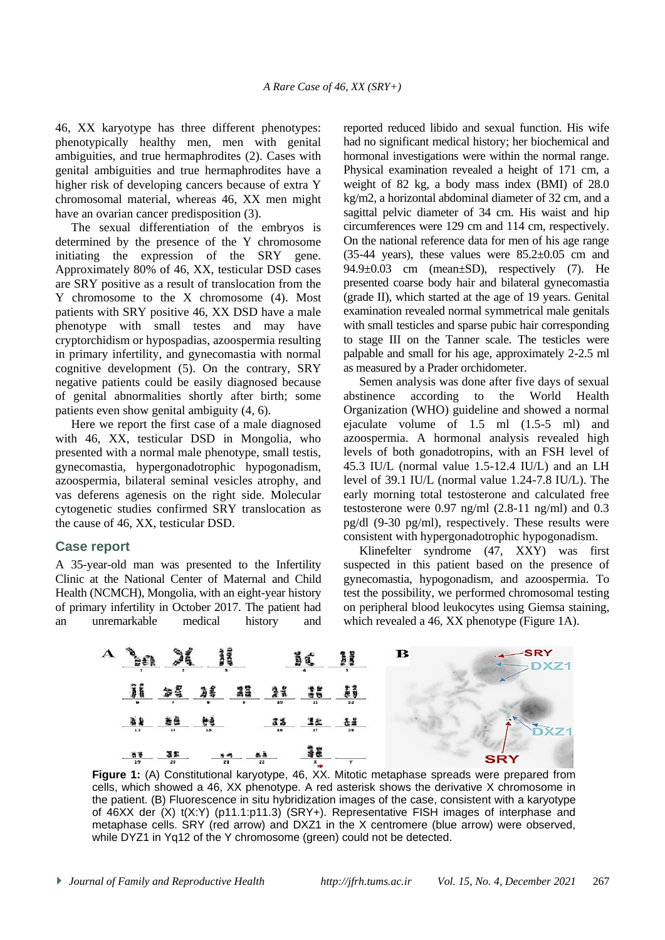46, XX karyotype has three different phenotypes: phenotypically healthy men, men with genital ambiguities, and true hermaphrodites (2). Cases with genital ambiguities and true hermaphrodites have a higher risk of developing cancers because of extra Y chromosomal material, whereas 46, XX men might have an ovarian cancer predisposition (3).

The sexual differentiation of the embryos is determined by the presence of the Y chromosome initiating the expression of the SRY gene. Approximately 80% of 46, XX, testicular DSD cases are SRY positive as a result of translocation from the Y chromosome to the X chromosome (4). Most patients with SRY positive 46, XX DSD have a male phenotype with small testes and may have cryptorchidism or hypospadias, azoospermia resulting in primary infertility, and gynecomastia with normal cognitive development (5). On the contrary, SRY negative patients could be easily diagnosed because of genital abnormalities shortly after birth; some patients even show genital ambiguity (4, 6).

Here we report the first case of a male diagnosed with 46, XX, testicular DSD in Mongolia, who presented with a normal male phenotype, small testis, gynecomastia, hypergonadotrophic hypogonadism, azoospermia, bilateral seminal vesicles atrophy, and vas deferens agenesis on the right side. Molecular cytogenetic studies confirmed SRY translocation as the cause of 46, XX, testicular DSD.

# **Case report**

A 35-year-old man was presented to the Infertility Clinic at the National Center of Maternal and Child Health (NCMCH), Mongolia, with an eight-year history of primary infertility in October 2017. The patient had an unremarkable medical history and reported reduced libido and sexual function. His wife had no significant medical history; her biochemical and hormonal investigations were within the normal range. Physical examination revealed a height of 171 cm, a weight of 82 kg, a body mass index (BMI) of 28.0 kg/m2, a horizontal abdominal diameter of 32 cm, and a sagittal pelvic diameter of 34 cm. His waist and hip circumferences were 129 cm and 114 cm, respectively. On the national reference data for men of his age range (35-44 years), these values were  $85.2\pm0.05$  cm and 94.9±0.03 cm (mean±SD), respectively (7). He presented coarse body hair and bilateral gynecomastia (grade II), which started at the age of 19 years. Genital examination revealed normal symmetrical male genitals with small testicles and sparse pubic hair corresponding to stage III on the Tanner scale. The testicles were palpable and small for his age, approximately 2-2.5 ml as measured by a Prader orchidometer.

Semen analysis was done after five days of sexual abstinence according to the World Health Organization (WHO) guideline and showed a normal ejaculate volume of 1.5 ml (1.5-5 ml) and azoospermia. A hormonal analysis revealed high levels of both gonadotropins, with an FSH level of 45.3 IU/L (normal value 1.5-12.4 IU/L) and an LH level of 39.1 IU/L (normal value 1.24-7.8 IU/L). The early morning total testosterone and calculated free testosterone were 0.97 ng/ml (2.8-11 ng/ml) and 0.3 pg/dl (9-30 pg/ml), respectively. These results were consistent with hypergonadotrophic hypogonadism.

Klinefelter syndrome (47, XXY) was first suspected in this patient based on the presence of gynecomastia, hypogonadism, and azoospermia. To test the possibility, we performed chromosomal testing on peripheral blood leukocytes using Giemsa staining, which revealed a 46, XX phenotype (Figure 1A).



**Figure 1:** (A) Constitutional karyotype, 46, XX. Mitotic metaphase spreads were prepared from cells, which showed a 46, XX phenotype. A red asterisk shows the derivative X chromosome in the patient. (B) Fluorescence in situ hybridization images of the case, consistent with a karyotype of 46XX der (X) t(X:Y) (p11.1:p11.3) (SRY+). Representative FISH images of interphase and metaphase cells. SRY (red arrow) and DXZ1 in the X centromere (blue arrow) were observed, while DYZ1 in Yq12 of the Y chromosome (green) could not be detected.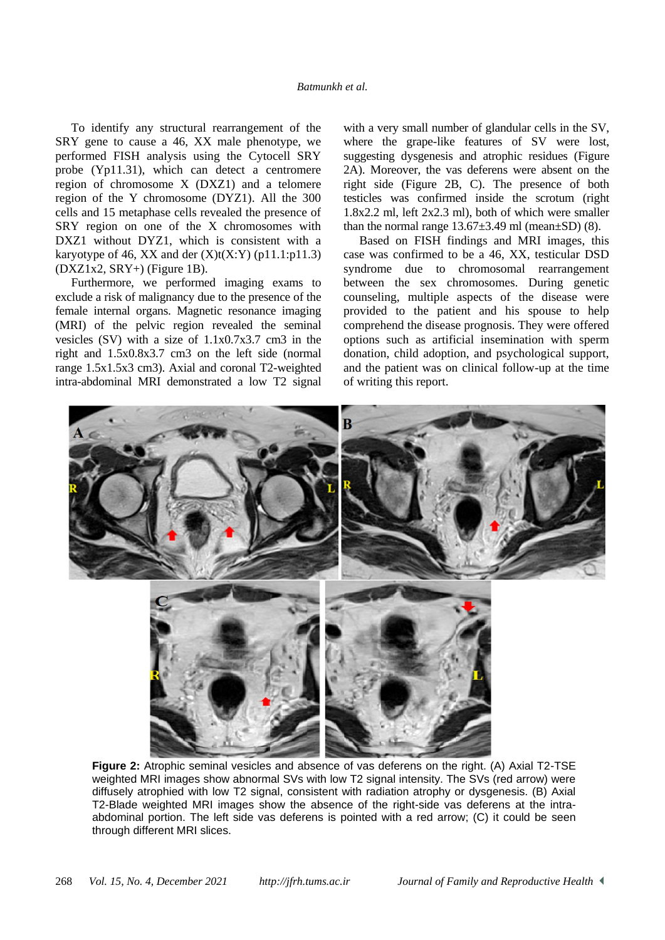#### *Batmunkh et al.*

To identify any structural rearrangement of the SRY gene to cause a 46, XX male phenotype, we performed FISH analysis using the Cytocell SRY probe (Yp11.31), which can detect a centromere region of chromosome X (DXZ1) and a telomere region of the Y chromosome (DYZ1). All the 300 cells and 15 metaphase cells revealed the presence of SRY region on one of the X chromosomes with DXZ1 without DYZ1, which is consistent with a karyotype of 46, XX and der  $(X)t(X:Y)$  (p11.1:p11.3)  $(DXZ1x2, SRY+)$  (Figure 1B).

Furthermore, we performed imaging exams to exclude a risk of malignancy due to the presence of the female internal organs. Magnetic resonance imaging (MRI) of the pelvic region revealed the seminal vesicles (SV) with a size of 1.1x0.7x3.7 cm3 in the right and 1.5x0.8x3.7 cm3 on the left side (normal range 1.5x1.5x3 cm3). Axial and coronal T2-weighted intra-abdominal MRI demonstrated a low T2 signal with a very small number of glandular cells in the SV, where the grape-like features of SV were lost, suggesting dysgenesis and atrophic residues (Figure 2A). Moreover, the vas deferens were absent on the right side (Figure 2B, C). The presence of both testicles was confirmed inside the scrotum (right 1.8x2.2 ml, left 2x2.3 ml), both of which were smaller than the normal range  $13.67\pm3.49$  ml (mean $\pm$ SD) (8).

Based on FISH findings and MRI images, this case was confirmed to be a 46, XX, testicular DSD syndrome due to chromosomal rearrangement between the sex chromosomes. During genetic counseling, multiple aspects of the disease were provided to the patient and his spouse to help comprehend the disease prognosis. They were offered options such as artificial insemination with sperm donation, child adoption, and psychological support, and the patient was on clinical follow-up at the time of writing this report.



**Figure 2:** Atrophic seminal vesicles and absence of vas deferens on the right. (A) Axial T2-TSE weighted MRI images show abnormal SVs with low T2 signal intensity. The SVs (red arrow) were diffusely atrophied with low T2 signal, consistent with radiation atrophy or dysgenesis. (B) Axial T2-Blade weighted MRI images show the absence of the right-side vas deferens at the intraabdominal portion. The left side vas deferens is pointed with a red arrow; (C) it could be seen through different MRI slices.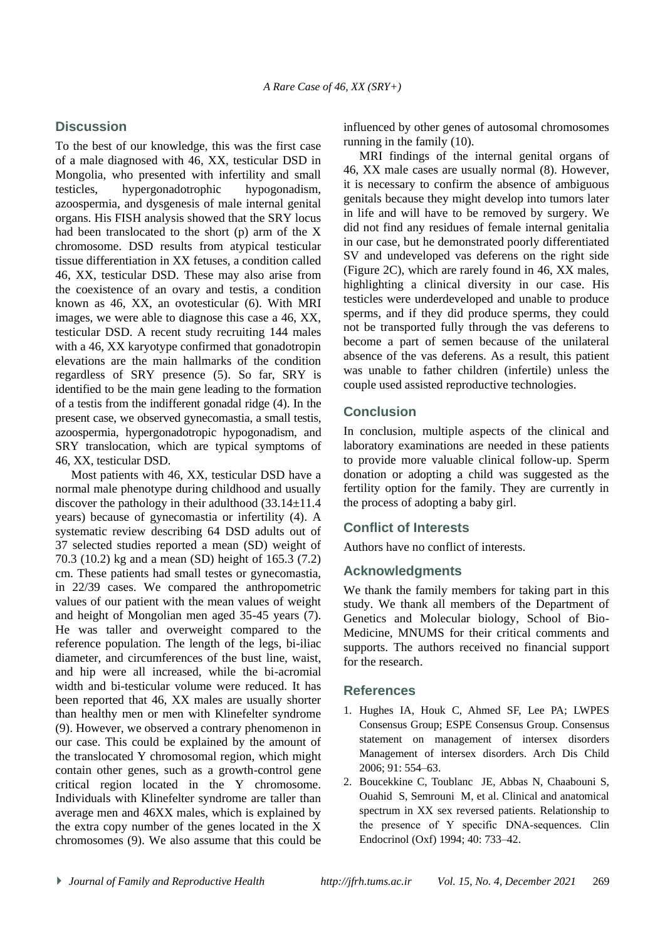# **Discussion**

To the best of our knowledge, this was the first case of a male diagnosed with 46, XX, testicular DSD in Mongolia, who presented with infertility and small testicles, hypergonadotrophic hypogonadism, azoospermia, and dysgenesis of male internal genital organs. His FISH analysis showed that the SRY locus had been translocated to the short (p) arm of the X chromosome. DSD results from atypical testicular tissue differentiation in XX fetuses, a condition called 46, XX, testicular DSD. These may also arise from the coexistence of an ovary and testis, a condition known as 46, XX, an ovotesticular (6). With MRI images, we were able to diagnose this case a 46, XX, testicular DSD. A recent study recruiting 144 males with a 46, XX karyotype confirmed that gonadotropin elevations are the main hallmarks of the condition regardless of SRY presence (5). So far, SRY is identified to be the main gene leading to the formation of a testis from the indifferent gonadal ridge (4). In the present case, we observed gynecomastia, a small testis, azoospermia, hypergonadotropic hypogonadism, and SRY translocation, which are typical symptoms of 46, XX, testicular DSD.

Most patients with 46, XX, testicular DSD have a normal male phenotype during childhood and usually discover the pathology in their adulthood  $(33.14 \pm 11.4)$ years) because of gynecomastia or infertility (4). A systematic review describing 64 DSD adults out of 37 selected studies reported a mean (SD) weight of 70.3 (10.2) kg and a mean (SD) height of 165.3 (7.2) cm. These patients had small testes or gynecomastia, in 22/39 cases. We compared the anthropometric values of our patient with the mean values of weight and height of Mongolian men aged 35-45 years (7). He was taller and overweight compared to the reference population. The length of the legs, bi-iliac diameter, and circumferences of the bust line, waist, and hip were all increased, while the bi-acromial width and bi-testicular volume were reduced. It has been reported that 46, XX males are usually shorter than healthy men or men with Klinefelter syndrome (9). However, we observed a contrary phenomenon in our case. This could be explained by the amount of the translocated Y chromosomal region, which might contain other genes, such as a growth-control gene critical region located in the Y chromosome. Individuals with Klinefelter syndrome are taller than average men and 46XX males, which is explained by the extra copy number of the genes located in the X chromosomes (9). We also assume that this could be

influenced by other genes of autosomal chromosomes running in the family (10).

MRI findings of the internal genital organs of 46, XX male cases are usually normal (8). However, it is necessary to confirm the absence of ambiguous genitals because they might develop into tumors later in life and will have to be removed by surgery. We did not find any residues of female internal genitalia in our case, but he demonstrated poorly differentiated SV and undeveloped vas deferens on the right side (Figure 2C), which are rarely found in 46, XX males, highlighting a clinical diversity in our case. His testicles were underdeveloped and unable to produce sperms, and if they did produce sperms, they could not be transported fully through the vas deferens to become a part of semen because of the unilateral absence of the vas deferens. As a result, this patient was unable to father children (infertile) unless the couple used assisted reproductive technologies.

# **Conclusion**

In conclusion, multiple aspects of the clinical and laboratory examinations are needed in these patients to provide more valuable clinical follow-up. Sperm donation or adopting a child was suggested as the fertility option for the family. They are currently in the process of adopting a baby girl.

## **Conflict of Interests**

Authors have no conflict of interests.

## **Acknowledgments**

We thank the family members for taking part in this study. We thank all members of the Department of Genetics and Molecular biology, School of Bio-Medicine, MNUMS for their critical comments and supports. The authors received no financial support for the research.

## **References**

- 1. Hughes IA, Houk C, Ahmed SF, Lee PA; LWPES Consensus Group; ESPE Consensus Group. Consensus statement on management of intersex disorders Management of intersex disorders. Arch Dis Child 2006; 91: 554–63.
- 2. Boucekkine C, Toublanc JE, Abbas N, Chaabouni S, Ouahid S, Semrouni M, et al. Clinical and anatomical spectrum in XX sex reversed patients. Relationship to the presence of Y specific DNA‐sequences. Clin Endocrinol (Oxf) 1994; 40: 733–42.